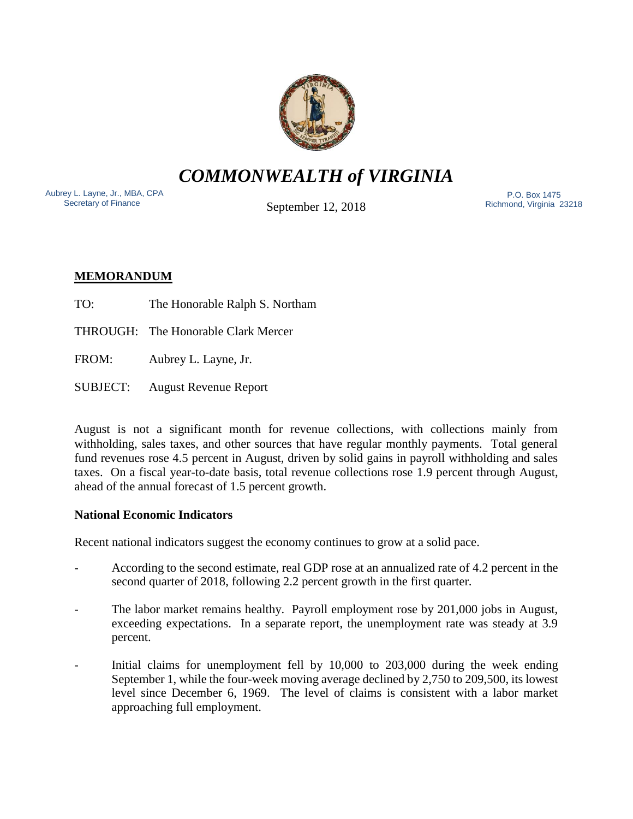

*COMMONWEALTH of VIRGINIA*

Aubrey L. Layne, Jr., MBA, CPA Secretary of Finance

September 12, 2018

 P.O. Box 1475 Richmond, Virginia 23218

# **MEMORANDUM**

- TO: The Honorable Ralph S. Northam
- THROUGH: The Honorable Clark Mercer
- FROM: Aubrey L. Layne, Jr.
- SUBJECT: August Revenue Report

August is not a significant month for revenue collections, with collections mainly from withholding, sales taxes, and other sources that have regular monthly payments. Total general fund revenues rose 4.5 percent in August, driven by solid gains in payroll withholding and sales taxes. On a fiscal year-to-date basis, total revenue collections rose 1.9 percent through August, ahead of the annual forecast of 1.5 percent growth.

## **National Economic Indicators**

Recent national indicators suggest the economy continues to grow at a solid pace.

- According to the second estimate, real GDP rose at an annualized rate of 4.2 percent in the second quarter of 2018, following 2.2 percent growth in the first quarter.
- The labor market remains healthy. Payroll employment rose by 201,000 jobs in August, exceeding expectations. In a separate report, the unemployment rate was steady at 3.9 percent.
- Initial claims for unemployment fell by 10,000 to 203,000 during the week ending September 1, while the four-week moving average declined by 2,750 to 209,500, its lowest level since December 6, 1969. The level of claims is consistent with a labor market approaching full employment.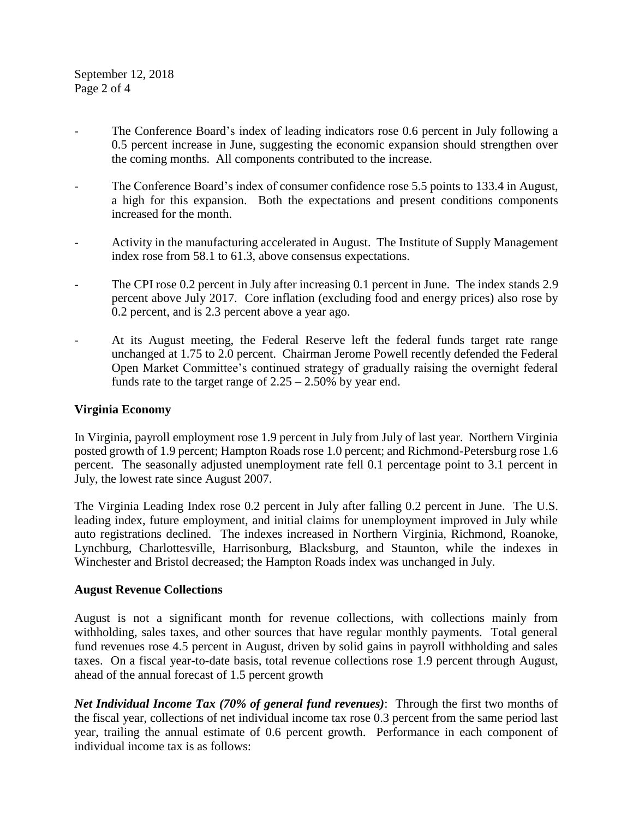- The Conference Board's index of leading indicators rose 0.6 percent in July following a 0.5 percent increase in June, suggesting the economic expansion should strengthen over the coming months. All components contributed to the increase.
- The Conference Board's index of consumer confidence rose 5.5 points to 133.4 in August, a high for this expansion. Both the expectations and present conditions components increased for the month.
- Activity in the manufacturing accelerated in August. The Institute of Supply Management index rose from 58.1 to 61.3, above consensus expectations.
- The CPI rose 0.2 percent in July after increasing 0.1 percent in June. The index stands 2.9 percent above July 2017. Core inflation (excluding food and energy prices) also rose by 0.2 percent, and is 2.3 percent above a year ago.
- At its August meeting, the Federal Reserve left the federal funds target rate range unchanged at 1.75 to 2.0 percent. Chairman Jerome Powell recently defended the Federal Open Market Committee's continued strategy of gradually raising the overnight federal funds rate to the target range of  $2.25 - 2.50\%$  by year end.

#### **Virginia Economy**

In Virginia, payroll employment rose 1.9 percent in July from July of last year. Northern Virginia posted growth of 1.9 percent; Hampton Roads rose 1.0 percent; and Richmond-Petersburg rose 1.6 percent. The seasonally adjusted unemployment rate fell 0.1 percentage point to 3.1 percent in July, the lowest rate since August 2007.

The Virginia Leading Index rose 0.2 percent in July after falling 0.2 percent in June. The U.S. leading index, future employment, and initial claims for unemployment improved in July while auto registrations declined. The indexes increased in Northern Virginia, Richmond, Roanoke, Lynchburg, Charlottesville, Harrisonburg, Blacksburg, and Staunton, while the indexes in Winchester and Bristol decreased; the Hampton Roads index was unchanged in July.

#### **August Revenue Collections**

August is not a significant month for revenue collections, with collections mainly from withholding, sales taxes, and other sources that have regular monthly payments. Total general fund revenues rose 4.5 percent in August, driven by solid gains in payroll withholding and sales taxes. On a fiscal year-to-date basis, total revenue collections rose 1.9 percent through August, ahead of the annual forecast of 1.5 percent growth

*Net Individual Income Tax (70% of general fund revenues)*: Through the first two months of the fiscal year, collections of net individual income tax rose 0.3 percent from the same period last year, trailing the annual estimate of 0.6 percent growth. Performance in each component of individual income tax is as follows: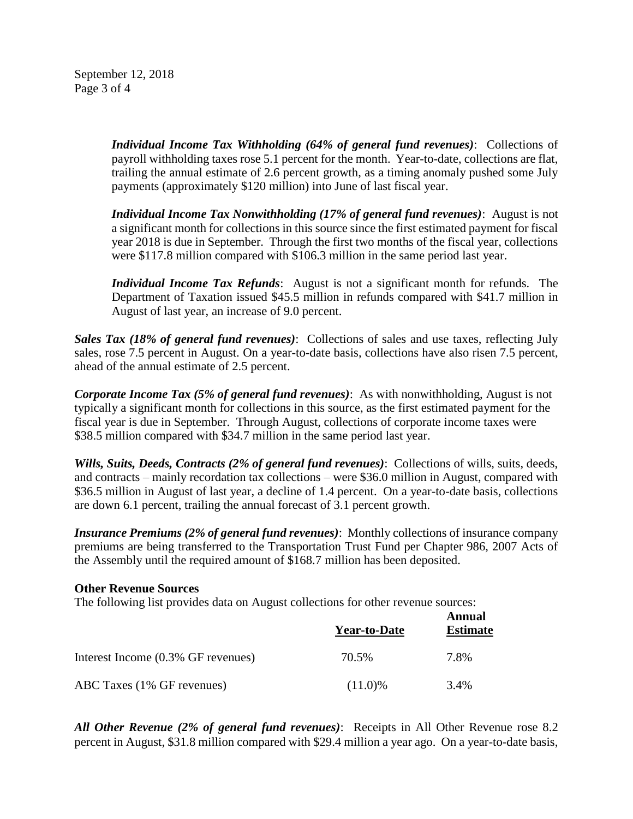September 12, 2018 Page 3 of 4

> *Individual Income Tax Withholding (64% of general fund revenues)*: Collections of payroll withholding taxes rose 5.1 percent for the month. Year-to-date, collections are flat, trailing the annual estimate of 2.6 percent growth, as a timing anomaly pushed some July payments (approximately \$120 million) into June of last fiscal year.

> *Individual Income Tax Nonwithholding (17% of general fund revenues)*: August is not a significant month for collections in this source since the first estimated payment for fiscal year 2018 is due in September. Through the first two months of the fiscal year, collections were \$117.8 million compared with \$106.3 million in the same period last year.

> *Individual Income Tax Refunds*: August is not a significant month for refunds. The Department of Taxation issued \$45.5 million in refunds compared with \$41.7 million in August of last year, an increase of 9.0 percent.

*Sales Tax (18% of general fund revenues)*: Collections of sales and use taxes, reflecting July sales, rose 7.5 percent in August. On a year-to-date basis, collections have also risen 7.5 percent, ahead of the annual estimate of 2.5 percent.

*Corporate Income Tax (5% of general fund revenues)*: As with nonwithholding, August is not typically a significant month for collections in this source, as the first estimated payment for the fiscal year is due in September. Through August, collections of corporate income taxes were \$38.5 million compared with \$34.7 million in the same period last year.

*Wills, Suits, Deeds, Contracts (2% of general fund revenues)*: Collections of wills, suits, deeds, and contracts – mainly recordation tax collections – were \$36.0 million in August, compared with \$36.5 million in August of last year, a decline of 1.4 percent. On a year-to-date basis, collections are down 6.1 percent, trailing the annual forecast of 3.1 percent growth.

*Insurance Premiums (2% of general fund revenues)*: Monthly collections of insurance company premiums are being transferred to the Transportation Trust Fund per Chapter 986, 2007 Acts of the Assembly until the required amount of \$168.7 million has been deposited.

#### **Other Revenue Sources**

The following list provides data on August collections for other revenue sources:

|                                    | <b>Year-to-Date</b> | Annual<br><b>Estimate</b> |
|------------------------------------|---------------------|---------------------------|
| Interest Income (0.3% GF revenues) | 70.5%               | 7.8%                      |
| ABC Taxes (1% GF revenues)         | $(11.0)\%$          | 3.4%                      |

*All Other Revenue (2% of general fund revenues)*: Receipts in All Other Revenue rose 8.2 percent in August, \$31.8 million compared with \$29.4 million a year ago. On a year-to-date basis,